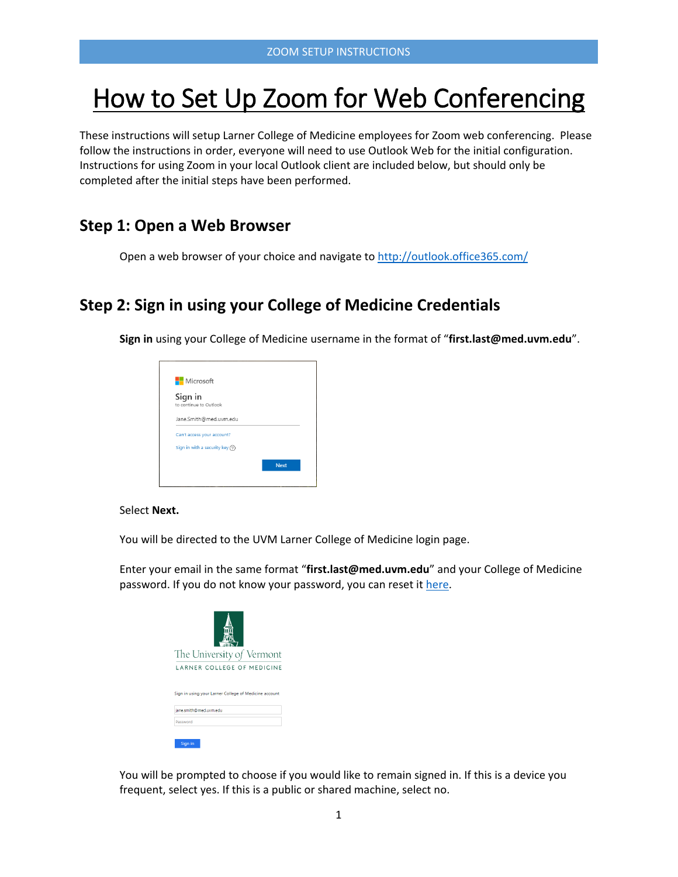# How to Set Up Zoom for Web Conferencing

These instructions will setup Larner College of Medicine employees for Zoom web conferencing. Please follow the instructions in order, everyone will need to use Outlook Web for the initial configuration. Instructions for using Zoom in your local Outlook client are included below, but should only be completed after the initial steps have been performed.

### **Step 1: Open a Web Browser**

Open a web browser of your choice and navigate to <http://outlook.office365.com/>

## **Step 2: Sign in using your College of Medicine Credentials**

**Sign in** using your College of Medicine username in the format of "**first.last@med.uvm.edu**".

| Sign in<br>to continue to Outlook |  |
|-----------------------------------|--|
|                                   |  |
| Jane.Smith@med.uvm.edu            |  |
| Can't access your account?        |  |
| Sign in with a security key $(2)$ |  |

#### Select **Next.**

You will be directed to the UVM Larner College of Medicine login page.

Enter your email in the same format "**first.last@med.uvm.edu**" and your College of Medicine password. If you do not know your password, you can reset it [here.](https://accounts.med.uvm.edu/)

| The University of Vermont                             |  |  |
|-------------------------------------------------------|--|--|
| LARNER COLLEGE OF MEDICINE                            |  |  |
| Sign in using your Larner College of Medicine account |  |  |
| jane.smith@med.uvm.edu                                |  |  |
| Password                                              |  |  |
| Sign in                                               |  |  |

You will be prompted to choose if you would like to remain signed in. If this is a device you frequent, select yes. If this is a public or shared machine, select no.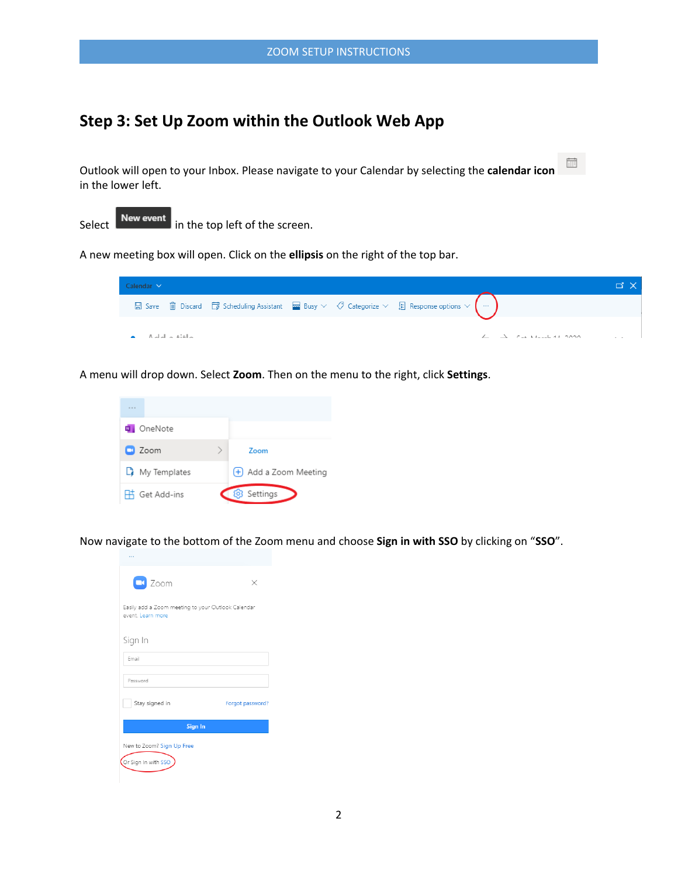## **Step 3: Set Up Zoom within the Outlook Web App**

Outlook will open to your Inbox. Please navigate to your Calendar by selecting the **calendar icon** in the lower left.



A new meeting box will open. Click on the **ellipsis** on the right of the top bar.



 $\frac{1}{\left| \frac{1}{1 \left| 1 \right|} \right|}$ 

A menu will drop down. Select **Zoom**. Then on the menu to the right, click **Settings**.



Now navigate to the bottom of the Zoom menu and choose **Sign in with SSO** by clicking on "**SSO**".

| $\Box$ Zoom                                                             | × |  |  |  |
|-------------------------------------------------------------------------|---|--|--|--|
| Easily add a Zoom meeting to your Outlook Calendar<br>event. Learn more |   |  |  |  |
| Sign In<br>Email                                                        |   |  |  |  |
| Password                                                                |   |  |  |  |
| Stay signed in<br>Forgot password?<br>Sign In                           |   |  |  |  |
| New to Zoom? Sign Up Free<br>Or Sign In with SSO                        |   |  |  |  |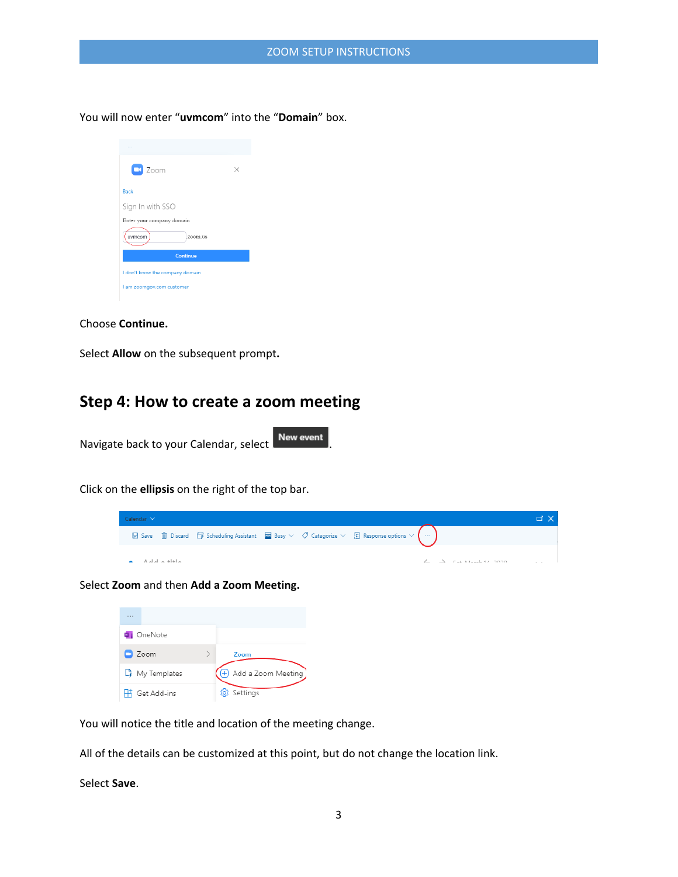You will now enter "**uvmcom**" into the "**Domain**" box.



Choose **Continue.**

Select **Allow** on the subsequent prompt**.**

## **Step 4: How to create a zoom meeting**

Navigate back to your Calendar, select New event

Click on the **ellipsis** on the right of the top bar.



Select **Zoom** and then **Add a Zoom Meeting.**

| <b>Q</b> OneNote          |                      |
|---------------------------|----------------------|
| $\Box$ Zoom               | Zoom                 |
| $\mathbb{D}$ My Templates | + Add a Zoom Meeting |
| H Get Add-ins             | 203 Settings         |

You will notice the title and location of the meeting change.

All of the details can be customized at this point, but do not change the location link.

Select **Save**.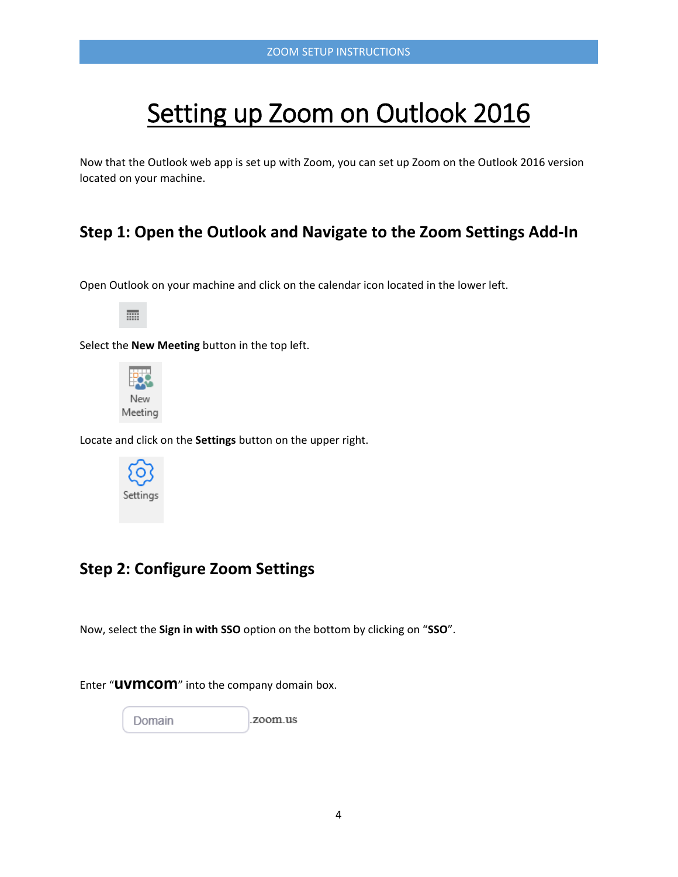# Setting up Zoom on Outlook 2016

Now that the Outlook web app is set up with Zoom, you can set up Zoom on the Outlook 2016 version located on your machine.

## **Step 1: Open the Outlook and Navigate to the Zoom Settings Add-In**

Open Outlook on your machine and click on the calendar icon located in the lower left.

m

Select the **New Meeting** button in the top left.



Locate and click on the **Settings** button on the upper right.



## **Step 2: Configure Zoom Settings**

Now, select the **Sign in with SSO** option on the bottom by clicking on "**SSO**".

zoom.us

Enter "**uvmcom**" into the company domain box.



4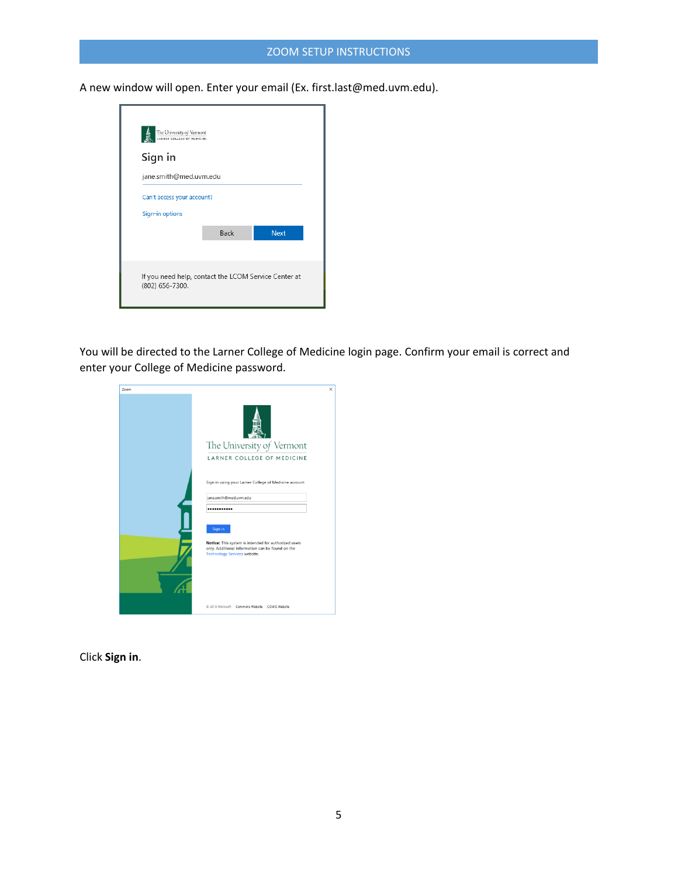### ZOOM SETUP INSTRUCTIONS

A new window will open. Enter your email (Ex. first.last@med.uvm.edu).



You will be directed to the Larner College of Medicine login page. Confirm your email is correct and enter your College of Medicine password.

| Zoom | ×                                                                                                                                                          |
|------|------------------------------------------------------------------------------------------------------------------------------------------------------------|
|      |                                                                                                                                                            |
|      | The University of Vermont                                                                                                                                  |
|      | LARNER COLLEGE OF MEDICINE                                                                                                                                 |
|      | Sign in using your Larner College of Medicine account<br>jane.smith@med.uvm.edu                                                                            |
|      |                                                                                                                                                            |
|      | Sign in<br>Notice: This system is intended for authorized users<br>only. Additional information can be found on the<br><b>Technology Services website.</b> |
|      |                                                                                                                                                            |
|      | 2018 Microsoft Commons Website COMIS Website                                                                                                               |

Click **Sign in**.